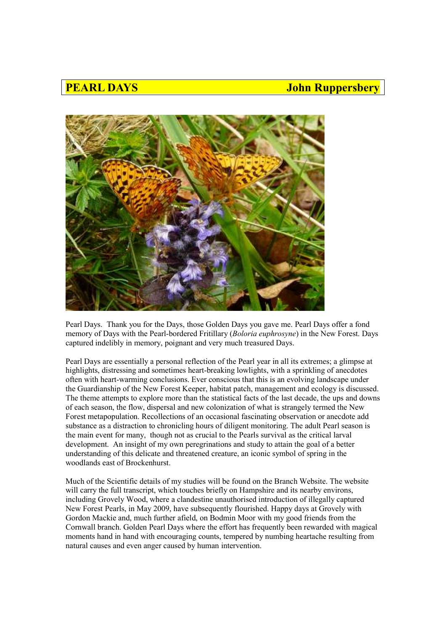## **PEARL DAYS** *DEARL DAYS DEARL DAYS Dependence 1 10 MHz John Ruppersbery*



Pearl Days. Thank you for the Days, those Golden Days you gave me. Pearl Days offer a fond memory of Days with the Pearl-bordered Fritillary (*Boloria euphrosyne*) in the New Forest. Days captured indelibly in memory, poignant and very much treasured Days.

Pearl Days are essentially a personal reflection of the Pearl year in all its extremes; a glimpse at highlights, distressing and sometimes heart-breaking lowlights, with a sprinkling of anecdotes often with heart-warming conclusions. Ever conscious that this is an evolving landscape under the Guardianship of the New Forest Keeper, habitat patch, management and ecology is discussed. The theme attempts to explore more than the statistical facts of the last decade, the ups and downs of each season, the flow, dispersal and new colonization of what is strangely termed the New Forest metapopulation. Recollections of an occasional fascinating observation or anecdote add substance as a distraction to chronicling hours of diligent monitoring. The adult Pearl season is the main event for many, though not as crucial to the Pearls survival as the critical larval development. An insight of my own peregrinations and study to attain the goal of a better understanding of this delicate and threatened creature, an iconic symbol of spring in the woodlands east of Brockenhurst.

Much of the Scientific details of my studies will be found on the Branch Website. The website will carry the full transcript, which touches briefly on Hampshire and its nearby environs, including Grovely Wood, where a clandestine unauthorised introduction of illegally captured New Forest Pearls, in May 2009, have subsequently flourished. Happy days at Grovely with Gordon Mackie and, much further afield, on Bodmin Moor with my good friends from the Cornwall branch. Golden Pearl Days where the effort has frequently been rewarded with magical moments hand in hand with encouraging counts, tempered by numbing heartache resulting from natural causes and even anger caused by human intervention.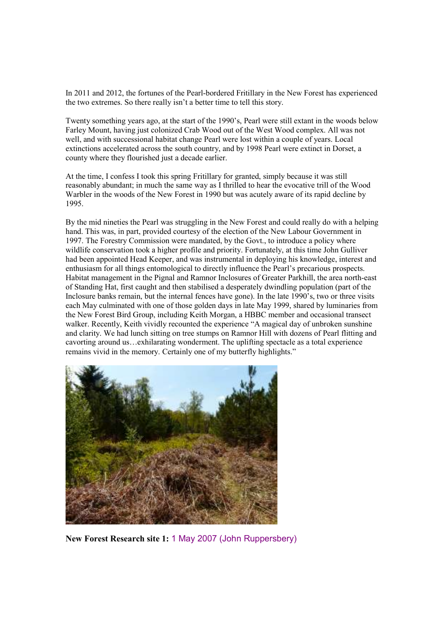In 2011 and 2012, the fortunes of the Pearl-bordered Fritillary in the New Forest has experienced the two extremes. So there really isn't a better time to tell this story.

Twenty something years ago, at the start of the 1990's, Pearl were still extant in the woods below Farley Mount, having just colonized Crab Wood out of the West Wood complex. All was not well, and with successional habitat change Pearl were lost within a couple of years. Local extinctions accelerated across the south country, and by 1998 Pearl were extinct in Dorset, a county where they flourished just a decade earlier.

At the time, I confess I took this spring Fritillary for granted, simply because it was still reasonably abundant; in much the same way as I thrilled to hear the evocative trill of the Wood Warbler in the woods of the New Forest in 1990 but was acutely aware of its rapid decline by 1995.

By the mid nineties the Pearl was struggling in the New Forest and could really do with a helping hand. This was, in part, provided courtesy of the election of the New Labour Government in 1997. The Forestry Commission were mandated, by the Govt., to introduce a policy where wildlife conservation took a higher profile and priority. Fortunately, at this time John Gulliver had been appointed Head Keeper, and was instrumental in deploying his knowledge, interest and enthusiasm for all things entomological to directly influence the Pearl's precarious prospects. Habitat management in the Pignal and Ramnor Inclosures of Greater Parkhill, the area north-east of Standing Hat, first caught and then stabilised a desperately dwindling population (part of the Inclosure banks remain, but the internal fences have gone). In the late 1990's, two or three visits each May culminated with one of those golden days in late May 1999, shared by luminaries from the New Forest Bird Group, including Keith Morgan, a HBBC member and occasional transect walker. Recently, Keith vividly recounted the experience "A magical day of unbroken sunshine and clarity. We had lunch sitting on tree stumps on Ramnor Hill with dozens of Pearl flitting and cavorting around us…exhilarating wonderment. The uplifting spectacle as a total experience remains vivid in the memory. Certainly one of my butterfly highlights."



**New Forest Research site 1:** 1 May 2007 (John Ruppersbery)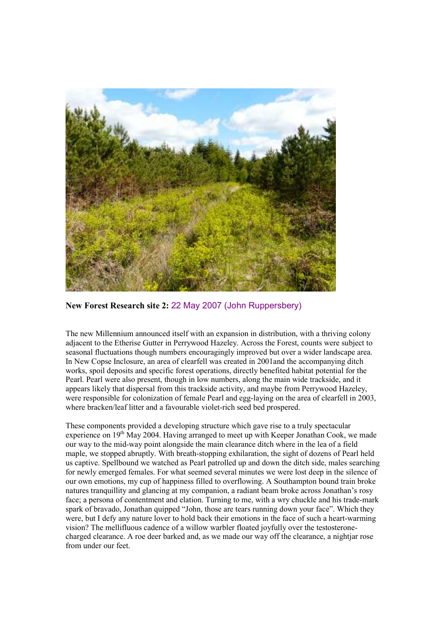

**New Forest Research site 2:** 22 May 2007 (John Ruppersbery)

The new Millennium announced itself with an expansion in distribution, with a thriving colony adjacent to the Etherise Gutter in Perrywood Hazeley. Across the Forest, counts were subject to seasonal fluctuations though numbers encouragingly improved but over a wider landscape area. In New Copse Inclosure, an area of clearfell was created in 2001and the accompanying ditch works, spoil deposits and specific forest operations, directly benefited habitat potential for the Pearl. Pearl were also present, though in low numbers, along the main wide trackside, and it appears likely that dispersal from this trackside activity, and maybe from Perrywood Hazeley, were responsible for colonization of female Pearl and egg-laying on the area of clearfell in 2003, where bracken/leaf litter and a favourable violet-rich seed bed prospered.

These components provided a developing structure which gave rise to a truly spectacular experience on 19<sup>th</sup> May 2004. Having arranged to meet up with Keeper Jonathan Cook, we made our way to the mid-way point alongside the main clearance ditch where in the lea of a field maple, we stopped abruptly. With breath-stopping exhilaration, the sight of dozens of Pearl held us captive. Spellbound we watched as Pearl patrolled up and down the ditch side, males searching for newly emerged females. For what seemed several minutes we were lost deep in the silence of our own emotions, my cup of happiness filled to overflowing. A Southampton bound train broke natures tranquillity and glancing at my companion, a radiant beam broke across Jonathan's rosy face; a persona of contentment and elation. Turning to me, with a wry chuckle and his trade-mark spark of bravado, Jonathan quipped "John, those are tears running down your face". Which they were, but I defy any nature lover to hold back their emotions in the face of such a heart-warming vision? The mellifluous cadence of a willow warbler floated joyfully over the testosteronecharged clearance. A roe deer barked and, as we made our way off the clearance, a nightjar rose from under our feet.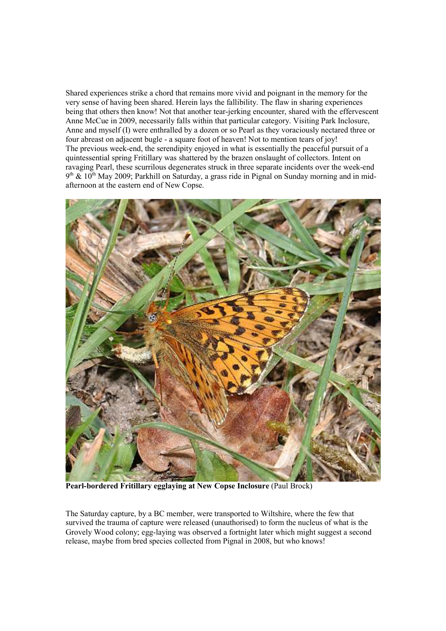Shared experiences strike a chord that remains more vivid and poignant in the memory for the very sense of having been shared. Herein lays the fallibility. The flaw in sharing experiences being that others then know! Not that another tear-jerking encounter, shared with the effervescent Anne McCue in 2009, necessarily falls within that particular category. Visiting Park Inclosure, Anne and myself (I) were enthralled by a dozen or so Pearl as they voraciously nectared three or four abreast on adjacent bugle - a square foot of heaven! Not to mention tears of joy! The previous week-end, the serendipity enjoyed in what is essentially the peaceful pursuit of a quintessential spring Fritillary was shattered by the brazen onslaught of collectors. Intent on ravaging Pearl, these scurrilous degenerates struck in three separate incidents over the week-end  $9<sup>th</sup>$  & 10<sup>th</sup> May 2009; Parkhill on Saturday, a grass ride in Pignal on Sunday morning and in midafternoon at the eastern end of New Copse.



**Pearl-bordered Fritillary egglaying at New Copse Inclosure** (Paul Brock)

The Saturday capture, by a BC member, were transported to Wiltshire, where the few that survived the trauma of capture were released (unauthorised) to form the nucleus of what is the Grovely Wood colony; egg-laying was observed a fortnight later which might suggest a second release, maybe from bred species collected from Pignal in 2008, but who knows!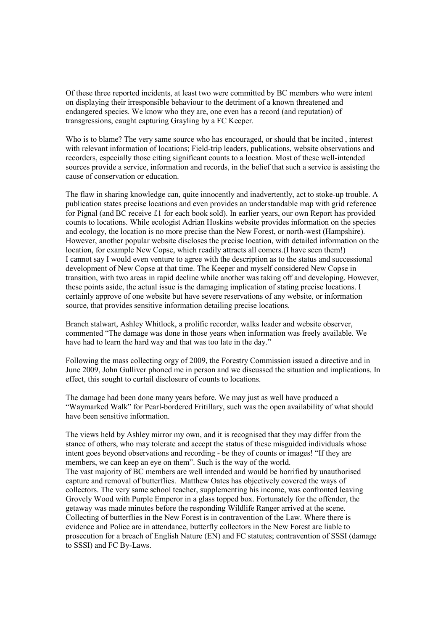Of these three reported incidents, at least two were committed by BC members who were intent on displaying their irresponsible behaviour to the detriment of a known threatened and endangered species. We know who they are, one even has a record (and reputation) of transgressions, caught capturing Grayling by a FC Keeper.

Who is to blame? The very same source who has encouraged, or should that be incited, interest with relevant information of locations; Field-trip leaders, publications, website observations and recorders, especially those citing significant counts to a location. Most of these well-intended sources provide a service, information and records, in the belief that such a service is assisting the cause of conservation or education.

The flaw in sharing knowledge can, quite innocently and inadvertently, act to stoke-up trouble. A publication states precise locations and even provides an understandable map with grid reference for Pignal (and BC receive £1 for each book sold). In earlier years, our own Report has provided counts to locations. While ecologist Adrian Hoskins website provides information on the species and ecology, the location is no more precise than the New Forest, or north-west (Hampshire). However, another popular website discloses the precise location, with detailed information on the location, for example New Copse, which readily attracts all comers.(I have seen them!) I cannot say I would even venture to agree with the description as to the status and successional development of New Copse at that time. The Keeper and myself considered New Copse in transition, with two areas in rapid decline while another was taking off and developing. However, these points aside, the actual issue is the damaging implication of stating precise locations. I certainly approve of one website but have severe reservations of any website, or information source, that provides sensitive information detailing precise locations.

Branch stalwart, Ashley Whitlock, a prolific recorder, walks leader and website observer, commented "The damage was done in those years when information was freely available. We have had to learn the hard way and that was too late in the day."

Following the mass collecting orgy of 2009, the Forestry Commission issued a directive and in June 2009, John Gulliver phoned me in person and we discussed the situation and implications. In effect, this sought to curtail disclosure of counts to locations.

The damage had been done many years before. We may just as well have produced a "Waymarked Walk" for Pearl-bordered Fritillary, such was the open availability of what should have been sensitive information.

The views held by Ashley mirror my own, and it is recognised that they may differ from the stance of others, who may tolerate and accept the status of these misguided individuals whose intent goes beyond observations and recording - be they of counts or images! "If they are members, we can keep an eye on them". Such is the way of the world. The vast majority of BC members are well intended and would be horrified by unauthorised capture and removal of butterflies. Matthew Oates has objectively covered the ways of collectors. The very same school teacher, supplementing his income, was confronted leaving Grovely Wood with Purple Emperor in a glass topped box. Fortunately for the offender, the getaway was made minutes before the responding Wildlife Ranger arrived at the scene. Collecting of butterflies in the New Forest is in contravention of the Law. Where there is evidence and Police are in attendance, butterfly collectors in the New Forest are liable to prosecution for a breach of English Nature (EN) and FC statutes; contravention of SSSI (damage to SSSI) and FC By-Laws.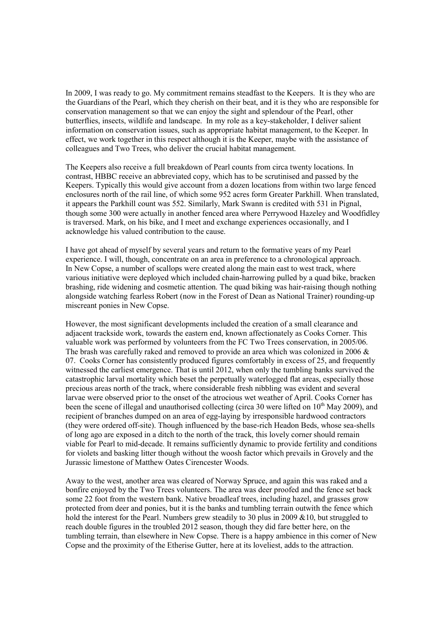In 2009, I was ready to go. My commitment remains steadfast to the Keepers. It is they who are the Guardians of the Pearl, which they cherish on their beat, and it is they who are responsible for conservation management so that we can enjoy the sight and splendour of the Pearl, other butterflies, insects, wildlife and landscape. In my role as a key-stakeholder, I deliver salient information on conservation issues, such as appropriate habitat management, to the Keeper. In effect, we work together in this respect although it is the Keeper, maybe with the assistance of colleagues and Two Trees, who deliver the crucial habitat management.

The Keepers also receive a full breakdown of Pearl counts from circa twenty locations. In contrast, HBBC receive an abbreviated copy, which has to be scrutinised and passed by the Keepers. Typically this would give account from a dozen locations from within two large fenced enclosures north of the rail line, of which some 952 acres form Greater Parkhill. When translated, it appears the Parkhill count was 552. Similarly, Mark Swann is credited with 531 in Pignal, though some 300 were actually in another fenced area where Perrywood Hazeley and Woodfidley is traversed. Mark, on his bike, and I meet and exchange experiences occasionally, and I acknowledge his valued contribution to the cause.

I have got ahead of myself by several years and return to the formative years of my Pearl experience. I will, though, concentrate on an area in preference to a chronological approach. In New Copse, a number of scallops were created along the main east to west track, where various initiative were deployed which included chain-harrowing pulled by a quad bike, bracken brashing, ride widening and cosmetic attention. The quad biking was hair-raising though nothing alongside watching fearless Robert (now in the Forest of Dean as National Trainer) rounding-up miscreant ponies in New Copse.

However, the most significant developments included the creation of a small clearance and adjacent trackside work, towards the eastern end, known affectionately as Cooks Corner. This valuable work was performed by volunteers from the FC Two Trees conservation, in 2005/06. The brash was carefully raked and removed to provide an area which was colonized in 2006 & 07. Cooks Corner has consistently produced figures comfortably in excess of 25, and frequently witnessed the earliest emergence. That is until 2012, when only the tumbling banks survived the catastrophic larval mortality which beset the perpetually waterlogged flat areas, especially those precious areas north of the track, where considerable fresh nibbling was evident and several larvae were observed prior to the onset of the atrocious wet weather of April. Cooks Corner has been the scene of illegal and unauthorised collecting (circa 30 were lifted on  $10<sup>th</sup>$  May 2009), and recipient of branches dumped on an area of egg-laying by irresponsible hardwood contractors (they were ordered off-site). Though influenced by the base-rich Headon Beds, whose sea-shells of long ago are exposed in a ditch to the north of the track, this lovely corner should remain viable for Pearl to mid-decade. It remains sufficiently dynamic to provide fertility and conditions for violets and basking litter though without the woosh factor which prevails in Grovely and the Jurassic limestone of Matthew Oates Cirencester Woods.

Away to the west, another area was cleared of Norway Spruce, and again this was raked and a bonfire enjoyed by the Two Trees volunteers. The area was deer proofed and the fence set back some 22 foot from the western bank. Native broadleaf trees, including hazel, and grasses grow protected from deer and ponies, but it is the banks and tumbling terrain outwith the fence which hold the interest for the Pearl. Numbers grew steadily to 30 plus in 2009  $&0.0$ , but struggled to reach double figures in the troubled 2012 season, though they did fare better here, on the tumbling terrain, than elsewhere in New Copse. There is a happy ambience in this corner of New Copse and the proximity of the Etherise Gutter, here at its loveliest, adds to the attraction.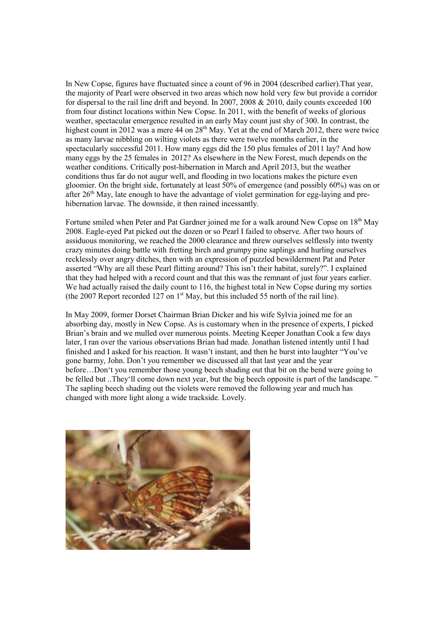In New Copse, figures have fluctuated since a count of 96 in 2004 (described earlier).That year, the majority of Pearl were observed in two areas which now hold very few but provide a corridor for dispersal to the rail line drift and beyond. In 2007, 2008 & 2010, daily counts exceeded 100 from four distinct locations within New Copse. In 2011, with the benefit of weeks of glorious weather, spectacular emergence resulted in an early May count just shy of 300. In contrast, the highest count in 2012 was a mere 44 on 28<sup>th</sup> May. Yet at the end of March 2012, there were twice as many larvae nibbling on wilting violets as there were twelve months earlier, in the spectacularly successful 2011. How many eggs did the 150 plus females of 2011 lay? And how many eggs by the 25 females in 2012? As elsewhere in the New Forest, much depends on the weather conditions. Critically post-hibernation in March and April 2013, but the weather conditions thus far do not augur well, and flooding in two locations makes the picture even gloomier. On the bright side, fortunately at least 50% of emergence (and possibly 60%) was on or after 26<sup>th</sup> May, late enough to have the advantage of violet germination for egg-laying and prehibernation larvae. The downside, it then rained incessantly.

Fortune smiled when Peter and Pat Gardner joined me for a walk around New Copse on 18<sup>th</sup> May 2008. Eagle-eyed Pat picked out the dozen or so Pearl I failed to observe. After two hours of assiduous monitoring, we reached the 2000 clearance and threw ourselves selflessly into twenty crazy minutes doing battle with fretting birch and grumpy pine saplings and hurling ourselves recklessly over angry ditches, then with an expression of puzzled bewilderment Pat and Peter asserted "Why are all these Pearl flitting around? This isn't their habitat, surely?". I explained that they had helped with a record count and that this was the remnant of just four years earlier. We had actually raised the daily count to 116, the highest total in New Copse during my sorties (the 2007 Report recorded 127 on  $1<sup>st</sup>$  May, but this included 55 north of the rail line).

In May 2009, former Dorset Chairman Brian Dicker and his wife Sylvia joined me for an absorbing day, mostly in New Copse. As is customary when in the presence of experts, I picked Brian's brain and we mulled over numerous points. Meeting Keeper Jonathan Cook a few days later, I ran over the various observations Brian had made. Jonathan listened intently until I had finished and I asked for his reaction. It wasn't instant, and then he burst into laughter "You've gone barmy, John. Don't you remember we discussed all that last year and the year before…Don't you remember those young beech shading out that bit on the bend were going to be felled but ..They'll come down next year, but the big beech opposite is part of the landscape. " The sapling beech shading out the violets were removed the following year and much has changed with more light along a wide trackside. Lovely.

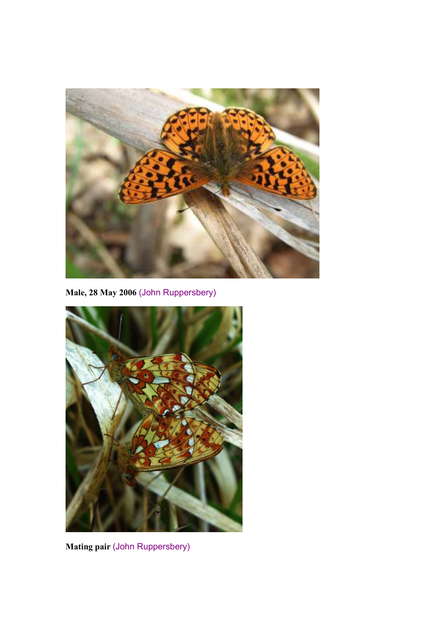

**Male, 28 May 2006** (John Ruppersbery)



**Mating pair** (John Ruppersbery)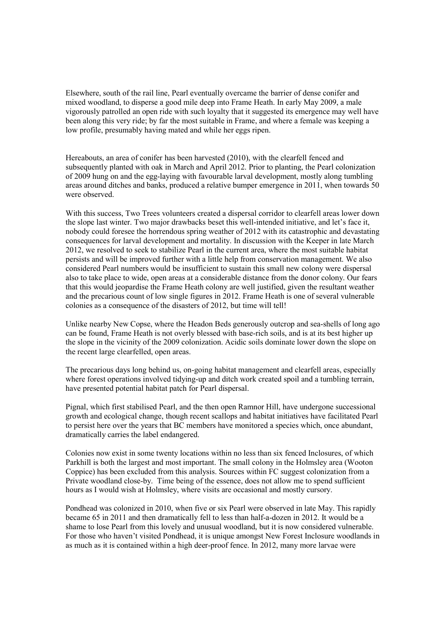Elsewhere, south of the rail line, Pearl eventually overcame the barrier of dense conifer and mixed woodland, to disperse a good mile deep into Frame Heath. In early May 2009, a male vigorously patrolled an open ride with such loyalty that it suggested its emergence may well have been along this very ride; by far the most suitable in Frame, and where a female was keeping a low profile, presumably having mated and while her eggs ripen.

Hereabouts, an area of conifer has been harvested (2010), with the clearfell fenced and subsequently planted with oak in March and April 2012. Prior to planting, the Pearl colonization of 2009 hung on and the egg-laying with favourable larval development, mostly along tumbling areas around ditches and banks, produced a relative bumper emergence in 2011, when towards 50 were observed.

With this success, Two Trees volunteers created a dispersal corridor to clearfell areas lower down the slope last winter. Two major drawbacks beset this well-intended initiative, and let's face it, nobody could foresee the horrendous spring weather of 2012 with its catastrophic and devastating consequences for larval development and mortality. In discussion with the Keeper in late March 2012, we resolved to seek to stabilize Pearl in the current area, where the most suitable habitat persists and will be improved further with a little help from conservation management. We also considered Pearl numbers would be insufficient to sustain this small new colony were dispersal also to take place to wide, open areas at a considerable distance from the donor colony. Our fears that this would jeopardise the Frame Heath colony are well justified, given the resultant weather and the precarious count of low single figures in 2012. Frame Heath is one of several vulnerable colonies as a consequence of the disasters of 2012, but time will tell!

Unlike nearby New Copse, where the Headon Beds generously outcrop and sea-shells of long ago can be found, Frame Heath is not overly blessed with base-rich soils, and is at its best higher up the slope in the vicinity of the 2009 colonization. Acidic soils dominate lower down the slope on the recent large clearfelled, open areas.

The precarious days long behind us, on-going habitat management and clearfell areas, especially where forest operations involved tidying-up and ditch work created spoil and a tumbling terrain, have presented potential habitat patch for Pearl dispersal.

Pignal, which first stabilised Pearl, and the then open Ramnor Hill, have undergone successional growth and ecological change, though recent scallops and habitat initiatives have facilitated Pearl to persist here over the years that BC members have monitored a species which, once abundant, dramatically carries the label endangered.

Colonies now exist in some twenty locations within no less than six fenced Inclosures, of which Parkhill is both the largest and most important. The small colony in the Holmsley area (Wooton Coppice) has been excluded from this analysis. Sources within FC suggest colonization from a Private woodland close-by. Time being of the essence, does not allow me to spend sufficient hours as I would wish at Holmsley, where visits are occasional and mostly cursory.

Pondhead was colonized in 2010, when five or six Pearl were observed in late May. This rapidly became 65 in 2011 and then dramatically fell to less than half-a-dozen in 2012. It would be a shame to lose Pearl from this lovely and unusual woodland, but it is now considered vulnerable. For those who haven't visited Pondhead, it is unique amongst New Forest Inclosure woodlands in as much as it is contained within a high deer-proof fence. In 2012, many more larvae were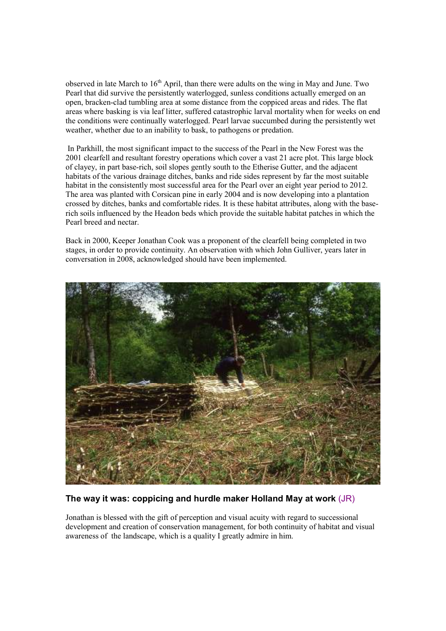observed in late March to 16<sup>th</sup> April, than there were adults on the wing in May and June. Two Pearl that did survive the persistently waterlogged, sunless conditions actually emerged on an open, bracken-clad tumbling area at some distance from the coppiced areas and rides. The flat areas where basking is via leaf litter, suffered catastrophic larval mortality when for weeks on end the conditions were continually waterlogged. Pearl larvae succumbed during the persistently wet weather, whether due to an inability to bask, to pathogens or predation.

 In Parkhill, the most significant impact to the success of the Pearl in the New Forest was the 2001 clearfell and resultant forestry operations which cover a vast 21 acre plot. This large block of clayey, in part base-rich, soil slopes gently south to the Etherise Gutter, and the adjacent habitats of the various drainage ditches, banks and ride sides represent by far the most suitable habitat in the consistently most successful area for the Pearl over an eight year period to 2012. The area was planted with Corsican pine in early 2004 and is now developing into a plantation crossed by ditches, banks and comfortable rides. It is these habitat attributes, along with the baserich soils influenced by the Headon beds which provide the suitable habitat patches in which the Pearl breed and nectar.

Back in 2000, Keeper Jonathan Cook was a proponent of the clearfell being completed in two stages, in order to provide continuity. An observation with which John Gulliver, years later in conversation in 2008, acknowledged should have been implemented.



## **The way it was: coppicing and hurdle maker Holland May at work** (JR)

Jonathan is blessed with the gift of perception and visual acuity with regard to successional development and creation of conservation management, for both continuity of habitat and visual awareness of the landscape, which is a quality I greatly admire in him.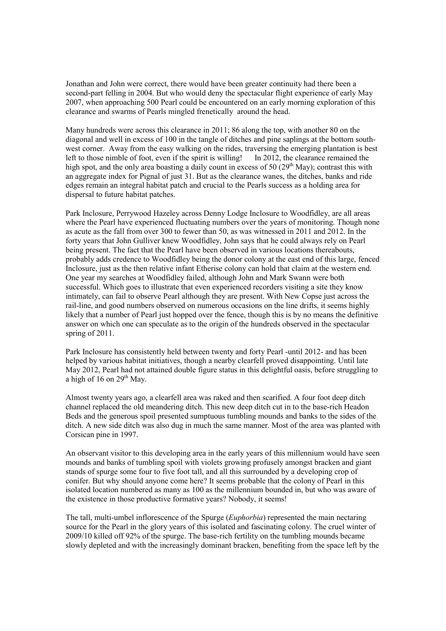Jonathan and John were correct, there would have been greater continuity had there been a second-part felling in 2004. But who would deny the spectacular flight experience of early May 2007, when approaching 500 Pearl could be encountered on an early morning exploration of this clearance and swarms of Pearls mingled frenetically around the head.

Many hundreds were across this clearance in 2011; 86 along the top, with another 80 on the diagonal and well in excess of 100 in the tangle of ditches and pine saplings at the bottom southwest corner. Away from the easy walking on the rides, traversing the emerging plantation is best left to those nimble of foot, even if the spirit is willing! In 2012, the clearance remained the high spot, and the only area boasting a daily count in excess of 50 ( $29<sup>th</sup>$  May); contrast this with an aggregate index for Pignal of just 31. But as the clearance wanes, the ditches, banks and ride edges remain an integral habitat patch and crucial to the Pearls success as a holding area for dispersal to future habitat patches.

Park Inclosure, Perrywood Hazeley across Denny Lodge Inclosure to Woodfidley, are all areas where the Pearl have experienced fluctuating numbers over the years of monitoring. Though none as acute as the fall from over 300 to fewer than 50, as was witnessed in 2011 and 2012. In the forty years that John Gulliver knew Woodfidley, John says that he could always rely on Pearl being present. The fact that the Pearl have been observed in various locations thereabouts, probably adds credence to Woodfidley being the donor colony at the east end of this large, fenced Inclosure, just as the then relative infant Etherise colony can hold that claim at the western end. One year my searches at Woodfidley failed, although John and Mark Swann were both successful. Which goes to illustrate that even experienced recorders visiting a site they know intimately, can fail to observe Pearl although they are present. With New Copse just across the rail-line, and good numbers observed on numerous occasions on the line drifts, it seems highly likely that a number of Pearl just hopped over the fence, though this is by no means the definitive answer on which one can speculate as to the origin of the hundreds observed in the spectacular spring of 2011.

Park Inclosure has consistently held between twenty and forty Pearl -until 2012- and has been helped by various habitat initiatives, though a nearby clearfell proved disappointing. Until late May 2012, Pearl had not attained double figure status in this delightful oasis, before struggling to a high of 16 on  $29<sup>th</sup>$  May.

Almost twenty years ago, a clearfell area was raked and then scarified. A four foot deep ditch channel replaced the old meandering ditch. This new deep ditch cut in to the base-rich Headon Beds and the generous spoil presented sumptuous tumbling mounds and banks to the sides of the ditch. A new side ditch was also dug in much the same manner. Most of the area was planted with Corsican pine in 1997.

An observant visitor to this developing area in the early years of this millennium would have seen mounds and banks of tumbling spoil with violets growing profusely amongst bracken and giant stands of spurge some four to five foot tall, and all this surrounded by a developing crop of conifer. But why should anyone come here? It seems probable that the colony of Pearl in this isolated location numbered as many as 100 as the millennium bounded in, but who was aware of the existence in those productive formative years? Nobody, it seems!

The tall, multi-umbel inflorescence of the Spurge (*Euphorbia*) represented the main nectaring source for the Pearl in the glory years of this isolated and fascinating colony. The cruel winter of 2009/10 killed off 92% of the spurge. The base-rich fertility on the tumbling mounds became slowly depleted and with the increasingly dominant bracken, benefiting from the space left by the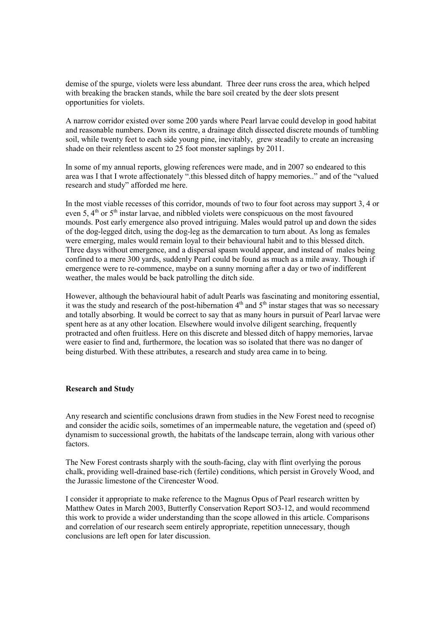demise of the spurge, violets were less abundant. Three deer runs cross the area, which helped with breaking the bracken stands, while the bare soil created by the deer slots present opportunities for violets.

A narrow corridor existed over some 200 yards where Pearl larvae could develop in good habitat and reasonable numbers. Down its centre, a drainage ditch dissected discrete mounds of tumbling soil, while twenty feet to each side young pine, inevitably, grew steadily to create an increasing shade on their relentless ascent to 25 foot monster saplings by 2011.

In some of my annual reports, glowing references were made, and in 2007 so endeared to this area was I that I wrote affectionately ".this blessed ditch of happy memories.." and of the "valued research and study" afforded me here.

In the most viable recesses of this corridor, mounds of two to four foot across may support 3, 4 or even 5, 4<sup>th</sup> or 5<sup>th</sup> instar larvae, and nibbled violets were conspicuous on the most favoured mounds. Post early emergence also proved intriguing. Males would patrol up and down the sides of the dog-legged ditch, using the dog-leg as the demarcation to turn about. As long as females were emerging, males would remain loyal to their behavioural habit and to this blessed ditch. Three days without emergence, and a dispersal spasm would appear, and instead of males being confined to a mere 300 yards, suddenly Pearl could be found as much as a mile away. Though if emergence were to re-commence, maybe on a sunny morning after a day or two of indifferent weather, the males would be back patrolling the ditch side.

However, although the behavioural habit of adult Pearls was fascinating and monitoring essential, it was the study and research of the post-hibernation  $4<sup>th</sup>$  and  $5<sup>th</sup>$  instar stages that was so necessary and totally absorbing. It would be correct to say that as many hours in pursuit of Pearl larvae were spent here as at any other location. Elsewhere would involve diligent searching, frequently protracted and often fruitless. Here on this discrete and blessed ditch of happy memories, larvae were easier to find and, furthermore, the location was so isolated that there was no danger of being disturbed. With these attributes, a research and study area came in to being.

## **Research and Study**

Any research and scientific conclusions drawn from studies in the New Forest need to recognise and consider the acidic soils, sometimes of an impermeable nature, the vegetation and (speed of) dynamism to successional growth, the habitats of the landscape terrain, along with various other factors.

The New Forest contrasts sharply with the south-facing, clay with flint overlying the porous chalk, providing well-drained base-rich (fertile) conditions, which persist in Grovely Wood, and the Jurassic limestone of the Cirencester Wood.

I consider it appropriate to make reference to the Magnus Opus of Pearl research written by Matthew Oates in March 2003, Butterfly Conservation Report SO3-12, and would recommend this work to provide a wider understanding than the scope allowed in this article. Comparisons and correlation of our research seem entirely appropriate, repetition unnecessary, though conclusions are left open for later discussion.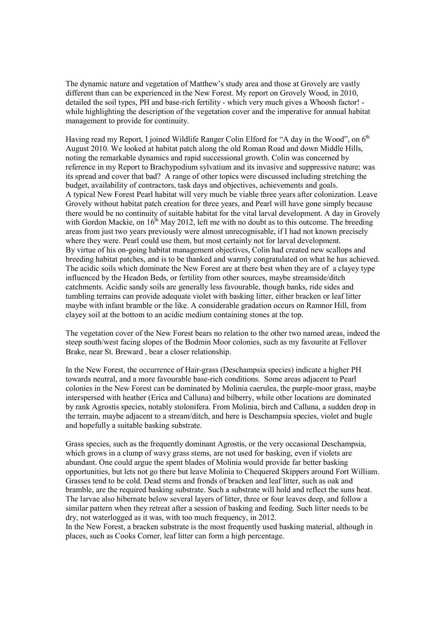The dynamic nature and vegetation of Matthew's study area and those at Grovely are vastly different than can be experienced in the New Forest. My report on Grovely Wood, in 2010, detailed the soil types, PH and base-rich fertility - which very much gives a Whoosh factor! while highlighting the description of the vegetation cover and the imperative for annual habitat management to provide for continuity.

Having read my Report, I joined Wildlife Ranger Colin Elford for "A day in the Wood", on 6<sup>th</sup> August 2010. We looked at habitat patch along the old Roman Road and down Middle Hills, noting the remarkable dynamics and rapid successional growth. Colin was concerned by reference in my Report to Brachypodium sylvatium and its invasive and suppressive nature; was its spread and cover that bad? A range of other topics were discussed including stretching the budget, availability of contractors, task days and objectives, achievements and goals. A typical New Forest Pearl habitat will very much be viable three years after colonization. Leave Grovely without habitat patch creation for three years, and Pearl will have gone simply because there would be no continuity of suitable habitat for the vital larval development. A day in Grovely with Gordon Mackie, on  $16<sup>th</sup>$  May 2012, left me with no doubt as to this outcome. The breeding areas from just two years previously were almost unrecognisable, if I had not known precisely where they were. Pearl could use them, but most certainly not for larval development. By virtue of his on-going habitat management objectives, Colin had created new scallops and breeding habitat patches, and is to be thanked and warmly congratulated on what he has achieved. The acidic soils which dominate the New Forest are at there best when they are of a clayey type influenced by the Headon Beds, or fertility from other sources, maybe streamside/ditch catchments. Acidic sandy soils are generally less favourable, though banks, ride sides and tumbling terrains can provide adequate violet with basking litter, either bracken or leaf litter maybe with infant bramble or the like. A considerable gradation occurs on Ramnor Hill, from clayey soil at the bottom to an acidic medium containing stones at the top.

The vegetation cover of the New Forest bears no relation to the other two named areas, indeed the steep south/west facing slopes of the Bodmin Moor colonies, such as my favourite at Fellover Brake, near St. Breward , bear a closer relationship.

In the New Forest, the occurrence of Hair-grass (Deschampsia species) indicate a higher PH towards neutral, and a more favourable base-rich conditions. Some areas adjacent to Pearl colonies in the New Forest can be dominated by Molinia caerulea, the purple-moor grass, maybe interspersed with heather (Erica and Calluna) and bilberry, while other locations are dominated by rank Agrostis species, notably stolonifera. From Molinia, birch and Calluna, a sudden drop in the terrain, maybe adjacent to a stream/ditch, and here is Deschampsia species, violet and bugle and hopefully a suitable basking substrate.

Grass species, such as the frequently dominant Agrostis, or the very occasional Deschampsia, which grows in a clump of wavy grass stems, are not used for basking, even if violets are abundant. One could argue the spent blades of Molinia would provide far better basking opportunities, but lets not go there but leave Molinia to Chequered Skippers around Fort William. Grasses tend to be cold. Dead stems and fronds of bracken and leaf litter, such as oak and bramble, are the required basking substrate. Such a substrate will hold and reflect the suns heat. The larvae also hibernate below several layers of litter, three or four leaves deep, and follow a similar pattern when they retreat after a session of basking and feeding. Such litter needs to be dry, not waterlogged as it was, with too much frequency, in 2012.

In the New Forest, a bracken substrate is the most frequently used basking material, although in places, such as Cooks Corner, leaf litter can form a high percentage.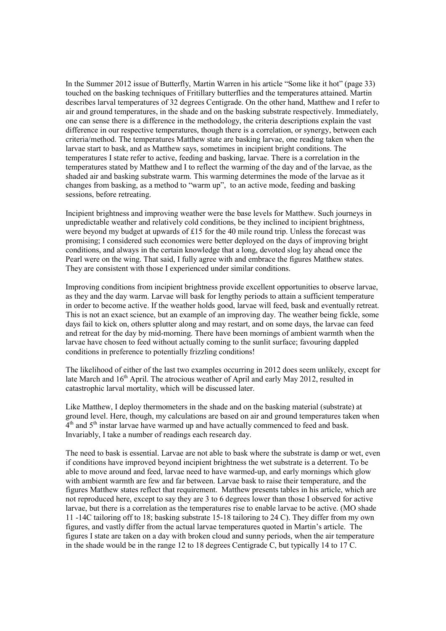In the Summer 2012 issue of Butterfly, Martin Warren in his article "Some like it hot" (page 33) touched on the basking techniques of Fritillary butterflies and the temperatures attained. Martin describes larval temperatures of 32 degrees Centigrade. On the other hand, Matthew and I refer to air and ground temperatures, in the shade and on the basking substrate respectively. Immediately, one can sense there is a difference in the methodology, the criteria descriptions explain the vast difference in our respective temperatures, though there is a correlation, or synergy, between each criteria/method. The temperatures Matthew state are basking larvae, one reading taken when the larvae start to bask, and as Matthew says, sometimes in incipient bright conditions. The temperatures I state refer to active, feeding and basking, larvae. There is a correlation in the temperatures stated by Matthew and I to reflect the warming of the day and of the larvae, as the shaded air and basking substrate warm. This warming determines the mode of the larvae as it changes from basking, as a method to "warm up", to an active mode, feeding and basking sessions, before retreating.

Incipient brightness and improving weather were the base levels for Matthew. Such journeys in unpredictable weather and relatively cold conditions, be they inclined to incipient brightness, were beyond my budget at upwards of £15 for the 40 mile round trip. Unless the forecast was promising; I considered such economies were better deployed on the days of improving bright conditions, and always in the certain knowledge that a long, devoted slog lay ahead once the Pearl were on the wing. That said, I fully agree with and embrace the figures Matthew states. They are consistent with those I experienced under similar conditions.

Improving conditions from incipient brightness provide excellent opportunities to observe larvae, as they and the day warm. Larvae will bask for lengthy periods to attain a sufficient temperature in order to become active. If the weather holds good, larvae will feed, bask and eventually retreat. This is not an exact science, but an example of an improving day. The weather being fickle, some days fail to kick on, others splutter along and may restart, and on some days, the larvae can feed and retreat for the day by mid-morning. There have been mornings of ambient warmth when the larvae have chosen to feed without actually coming to the sunlit surface; favouring dappled conditions in preference to potentially frizzling conditions!

The likelihood of either of the last two examples occurring in 2012 does seem unlikely, except for late March and 16<sup>th</sup> April. The atrocious weather of April and early May 2012, resulted in catastrophic larval mortality, which will be discussed later.

Like Matthew, I deploy thermometers in the shade and on the basking material (substrate) at ground level. Here, though, my calculations are based on air and ground temperatures taken when 4<sup>th</sup> and 5<sup>th</sup> instar larvae have warmed up and have actually commenced to feed and bask. Invariably, I take a number of readings each research day.

The need to bask is essential. Larvae are not able to bask where the substrate is damp or wet, even if conditions have improved beyond incipient brightness the wet substrate is a deterrent. To be able to move around and feed, larvae need to have warmed-up, and early mornings which glow with ambient warmth are few and far between. Larvae bask to raise their temperature, and the figures Matthew states reflect that requirement. Matthew presents tables in his article, which are not reproduced here, except to say they are 3 to 6 degrees lower than those I observed for active larvae, but there is a correlation as the temperatures rise to enable larvae to be active. (MO shade 11 -14C tailoring off to 18; basking substrate 15-18 tailoring to 24 C). They differ from my own figures, and vastly differ from the actual larvae temperatures quoted in Martin's article. The figures I state are taken on a day with broken cloud and sunny periods, when the air temperature in the shade would be in the range 12 to 18 degrees Centigrade C, but typically 14 to 17 C.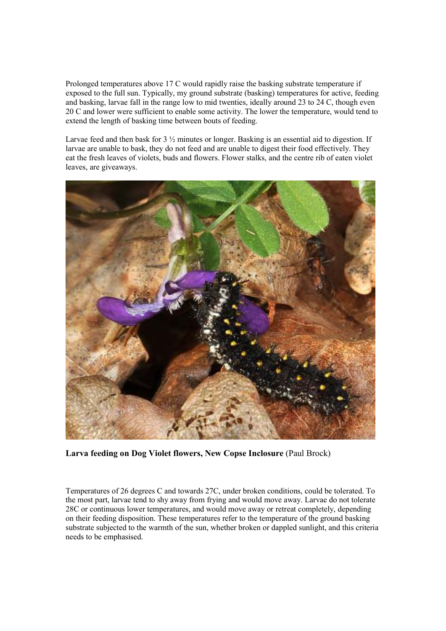Prolonged temperatures above 17 C would rapidly raise the basking substrate temperature if exposed to the full sun. Typically, my ground substrate (basking) temperatures for active, feeding and basking, larvae fall in the range low to mid twenties, ideally around 23 to 24 C, though even 20 C and lower were sufficient to enable some activity. The lower the temperature, would tend to extend the length of basking time between bouts of feeding.

Larvae feed and then bask for 3  $\frac{1}{2}$  minutes or longer. Basking is an essential aid to digestion. If larvae are unable to bask, they do not feed and are unable to digest their food effectively. They eat the fresh leaves of violets, buds and flowers. Flower stalks, and the centre rib of eaten violet leaves, are giveaways.



**Larva feeding on Dog Violet flowers, New Copse Inclosure** (Paul Brock)

Temperatures of 26 degrees C and towards 27C, under broken conditions, could be tolerated. To the most part, larvae tend to shy away from frying and would move away. Larvae do not tolerate 28C or continuous lower temperatures, and would move away or retreat completely, depending on their feeding disposition. These temperatures refer to the temperature of the ground basking substrate subjected to the warmth of the sun, whether broken or dappled sunlight, and this criteria needs to be emphasised.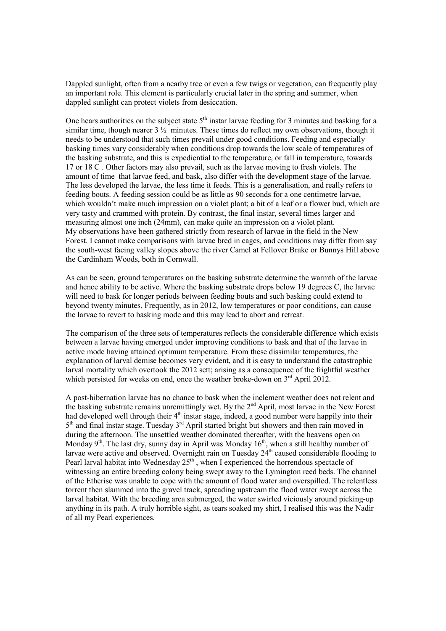Dappled sunlight, often from a nearby tree or even a few twigs or vegetation, can frequently play an important role. This element is particularly crucial later in the spring and summer, when dappled sunlight can protect violets from desiccation.

One hears authorities on the subject state  $5<sup>th</sup>$  instar larvae feeding for 3 minutes and basking for a similar time, though nearer  $3\frac{1}{2}$  minutes. These times do reflect my own observations, though it needs to be understood that such times prevail under good conditions. Feeding and especially basking times vary considerably when conditions drop towards the low scale of temperatures of the basking substrate, and this is expediential to the temperature, or fall in temperature, towards 17 or 18 C . Other factors may also prevail, such as the larvae moving to fresh violets. The amount of time that larvae feed, and bask, also differ with the development stage of the larvae. The less developed the larvae, the less time it feeds. This is a generalisation, and really refers to feeding bouts. A feeding session could be as little as 90 seconds for a one centimetre larvae, which wouldn't make much impression on a violet plant; a bit of a leaf or a flower bud, which are very tasty and crammed with protein. By contrast, the final instar, several times larger and measuring almost one inch (24mm), can make quite an impression on a violet plant. My observations have been gathered strictly from research of larvae in the field in the New Forest. I cannot make comparisons with larvae bred in cages, and conditions may differ from say the south-west facing valley slopes above the river Camel at Fellover Brake or Bunnys Hill above the Cardinham Woods, both in Cornwall.

As can be seen, ground temperatures on the basking substrate determine the warmth of the larvae and hence ability to be active. Where the basking substrate drops below 19 degrees C, the larvae will need to bask for longer periods between feeding bouts and such basking could extend to beyond twenty minutes. Frequently, as in 2012, low temperatures or poor conditions, can cause the larvae to revert to basking mode and this may lead to abort and retreat.

The comparison of the three sets of temperatures reflects the considerable difference which exists between a larvae having emerged under improving conditions to bask and that of the larvae in active mode having attained optimum temperature. From these dissimilar temperatures, the explanation of larval demise becomes very evident, and it is easy to understand the catastrophic larval mortality which overtook the 2012 sett; arising as a consequence of the frightful weather which persisted for weeks on end, once the weather broke-down on 3<sup>rd</sup> April 2012.

A post-hibernation larvae has no chance to bask when the inclement weather does not relent and the basking substrate remains unremittingly wet. By the 2<sup>nd</sup> April, most larvae in the New Forest had developed well through their  $4<sup>th</sup>$  instar stage, indeed, a good number were happily into their 5<sup>th</sup> and final instar stage. Tuesday 3<sup>rd</sup> April started bright but showers and then rain moved in during the afternoon. The unsettled weather dominated thereafter, with the heavens open on Monday  $9<sup>th</sup>$ . The last dry, sunny day in April was Monday  $16<sup>th</sup>$ , when a still healthy number of larvae were active and observed. Overnight rain on Tuesday  $24<sup>th</sup>$  caused considerable flooding to Pearl larval habitat into Wednesday  $25<sup>th</sup>$ , when I experienced the horrendous spectacle of witnessing an entire breeding colony being swept away to the Lymington reed beds. The channel of the Etherise was unable to cope with the amount of flood water and overspilled. The relentless torrent then slammed into the gravel track, spreading upstream the flood water swept across the larval habitat. With the breeding area submerged, the water swirled viciously around picking-up anything in its path. A truly horrible sight, as tears soaked my shirt, I realised this was the Nadir of all my Pearl experiences.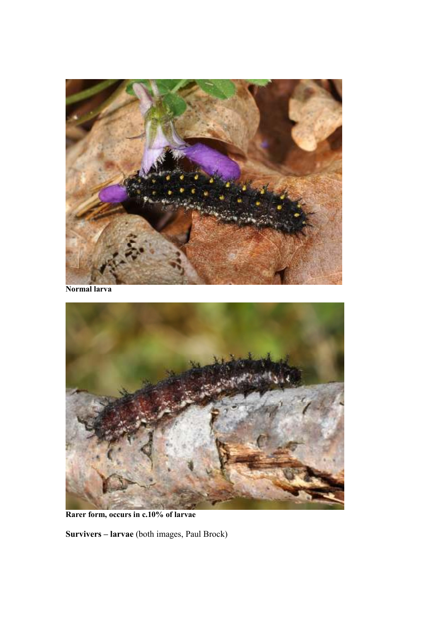

**Normal larva**



**Rarer form, occurs in c.10% of larvae** 

**Survivers – larvae** (both images, Paul Brock)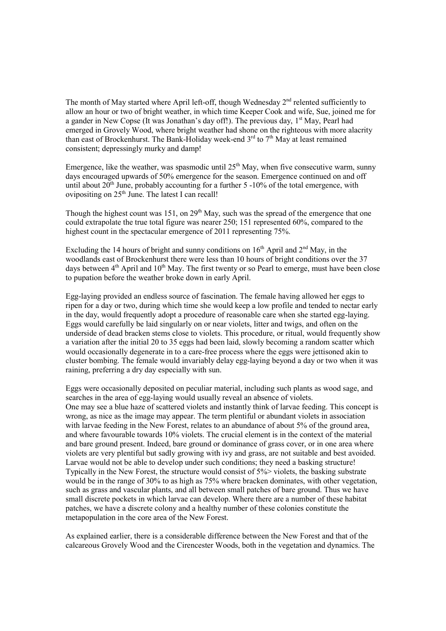The month of May started where April left-off, though Wednesday  $2<sup>nd</sup>$  relented sufficiently to allow an hour or two of bright weather, in which time Keeper Cook and wife, Sue, joined me for a gander in New Copse (It was Jonathan's day off!). The previous day,  $1<sup>st</sup>$  May, Pearl had emerged in Grovely Wood, where bright weather had shone on the righteous with more alacrity than east of Brockenhurst. The Bank-Holiday week-end  $3<sup>rd</sup>$  to  $7<sup>th</sup>$  May at least remained consistent; depressingly murky and damp!

Emergence, like the weather, was spasmodic until  $25<sup>th</sup>$  May, when five consecutive warm, sunny days encouraged upwards of 50% emergence for the season. Emergence continued on and off until about  $20^{th}$  June, probably accounting for a further 5 -10% of the total emergence, with ovipositing on  $25<sup>th</sup>$  June. The latest I can recall!

Though the highest count was 151, on  $29<sup>th</sup>$  May, such was the spread of the emergence that one could extrapolate the true total figure was nearer 250; 151 represented 60%, compared to the highest count in the spectacular emergence of 2011 representing 75%.

Excluding the 14 hours of bright and sunny conditions on  $16<sup>th</sup>$  April and  $2<sup>nd</sup>$  May, in the woodlands east of Brockenhurst there were less than 10 hours of bright conditions over the 37 days between  $4<sup>th</sup>$  April and  $10<sup>th</sup>$  May. The first twenty or so Pearl to emerge, must have been close to pupation before the weather broke down in early April.

Egg-laying provided an endless source of fascination. The female having allowed her eggs to ripen for a day or two, during which time she would keep a low profile and tended to nectar early in the day, would frequently adopt a procedure of reasonable care when she started egg-laying. Eggs would carefully be laid singularly on or near violets, litter and twigs, and often on the underside of dead bracken stems close to violets. This procedure, or ritual, would frequently show a variation after the initial 20 to 35 eggs had been laid, slowly becoming a random scatter which would occasionally degenerate in to a care-free process where the eggs were jettisoned akin to cluster bombing. The female would invariably delay egg-laying beyond a day or two when it was raining, preferring a dry day especially with sun.

Eggs were occasionally deposited on peculiar material, including such plants as wood sage, and searches in the area of egg-laying would usually reveal an absence of violets. One may see a blue haze of scattered violets and instantly think of larvae feeding. This concept is wrong, as nice as the image may appear. The term plentiful or abundant violets in association with larvae feeding in the New Forest, relates to an abundance of about 5% of the ground area. and where favourable towards 10% violets. The crucial element is in the context of the material and bare ground present. Indeed, bare ground or dominance of grass cover, or in one area where violets are very plentiful but sadly growing with ivy and grass, are not suitable and best avoided. Larvae would not be able to develop under such conditions; they need a basking structure! Typically in the New Forest, the structure would consist of 5%> violets, the basking substrate would be in the range of 30% to as high as 75% where bracken dominates, with other vegetation, such as grass and vascular plants, and all between small patches of bare ground. Thus we have small discrete pockets in which larvae can develop. Where there are a number of these habitat patches, we have a discrete colony and a healthy number of these colonies constitute the metapopulation in the core area of the New Forest.

As explained earlier, there is a considerable difference between the New Forest and that of the calcareous Grovely Wood and the Cirencester Woods, both in the vegetation and dynamics. The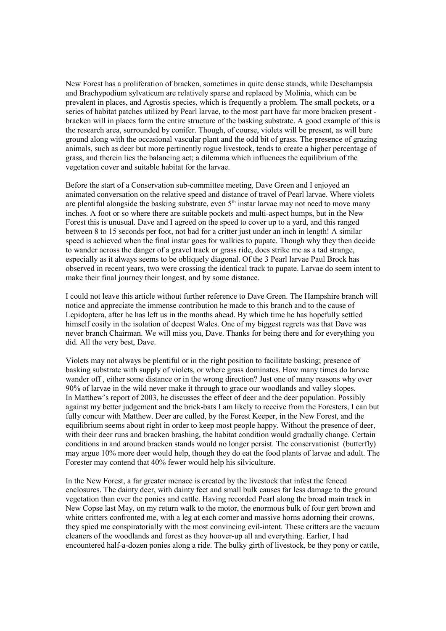New Forest has a proliferation of bracken, sometimes in quite dense stands, while Deschampsia and Brachypodium sylvaticum are relatively sparse and replaced by Molinia, which can be prevalent in places, and Agrostis species, which is frequently a problem. The small pockets, or a series of habitat patches utilized by Pearl larvae, to the most part have far more bracken present bracken will in places form the entire structure of the basking substrate. A good example of this is the research area, surrounded by conifer. Though, of course, violets will be present, as will bare ground along with the occasional vascular plant and the odd bit of grass. The presence of grazing animals, such as deer but more pertinently rogue livestock, tends to create a higher percentage of grass, and therein lies the balancing act; a dilemma which influences the equilibrium of the vegetation cover and suitable habitat for the larvae.

Before the start of a Conservation sub-committee meeting, Dave Green and I enjoyed an animated conversation on the relative speed and distance of travel of Pearl larvae. Where violets are plentiful alongside the basking substrate, even  $5<sup>th</sup>$  instar larvae may not need to move many inches. A foot or so where there are suitable pockets and multi-aspect humps, but in the New Forest this is unusual. Dave and I agreed on the speed to cover up to a yard, and this ranged between 8 to 15 seconds per foot, not bad for a critter just under an inch in length! A similar speed is achieved when the final instar goes for walkies to pupate. Though why they then decide to wander across the danger of a gravel track or grass ride, does strike me as a tad strange, especially as it always seems to be obliquely diagonal. Of the 3 Pearl larvae Paul Brock has observed in recent years, two were crossing the identical track to pupate. Larvae do seem intent to make their final journey their longest, and by some distance.

I could not leave this article without further reference to Dave Green. The Hampshire branch will notice and appreciate the immense contribution he made to this branch and to the cause of Lepidoptera, after he has left us in the months ahead. By which time he has hopefully settled himself cosily in the isolation of deepest Wales. One of my biggest regrets was that Dave was never branch Chairman. We will miss you, Dave. Thanks for being there and for everything you did. All the very best, Dave.

Violets may not always be plentiful or in the right position to facilitate basking; presence of basking substrate with supply of violets, or where grass dominates. How many times do larvae wander off , either some distance or in the wrong direction? Just one of many reasons why over 90% of larvae in the wild never make it through to grace our woodlands and valley slopes. In Matthew's report of 2003, he discusses the effect of deer and the deer population. Possibly against my better judgement and the brick-bats I am likely to receive from the Foresters, I can but fully concur with Matthew. Deer are culled, by the Forest Keeper, in the New Forest, and the equilibrium seems about right in order to keep most people happy. Without the presence of deer, with their deer runs and bracken brashing, the habitat condition would gradually change. Certain conditions in and around bracken stands would no longer persist. The conservationist (butterfly) may argue 10% more deer would help, though they do eat the food plants of larvae and adult. The Forester may contend that 40% fewer would help his silviculture.

In the New Forest, a far greater menace is created by the livestock that infest the fenced enclosures. The dainty deer, with dainty feet and small bulk causes far less damage to the ground vegetation than ever the ponies and cattle. Having recorded Pearl along the broad main track in New Copse last May, on my return walk to the motor, the enormous bulk of four gert brown and white critters confronted me, with a leg at each corner and massive horns adorning their crowns, they spied me conspiratorially with the most convincing evil-intent. These critters are the vacuum cleaners of the woodlands and forest as they hoover-up all and everything. Earlier, I had encountered half-a-dozen ponies along a ride. The bulky girth of livestock, be they pony or cattle,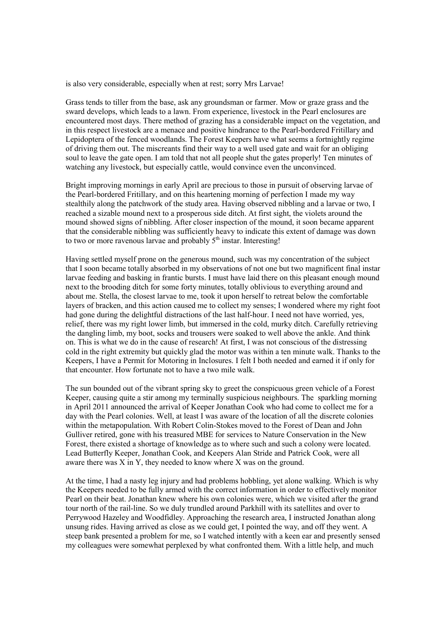is also very considerable, especially when at rest; sorry Mrs Larvae!

Grass tends to tiller from the base, ask any groundsman or farmer. Mow or graze grass and the sward develops, which leads to a lawn. From experience, livestock in the Pearl enclosures are encountered most days. There method of grazing has a considerable impact on the vegetation, and in this respect livestock are a menace and positive hindrance to the Pearl-bordered Fritillary and Lepidoptera of the fenced woodlands. The Forest Keepers have what seems a fortnightly regime of driving them out. The miscreants find their way to a well used gate and wait for an obliging soul to leave the gate open. I am told that not all people shut the gates properly! Ten minutes of watching any livestock, but especially cattle, would convince even the unconvinced.

Bright improving mornings in early April are precious to those in pursuit of observing larvae of the Pearl-bordered Fritillary, and on this heartening morning of perfection I made my way stealthily along the patchwork of the study area. Having observed nibbling and a larvae or two, I reached a sizable mound next to a prosperous side ditch. At first sight, the violets around the mound showed signs of nibbling. After closer inspection of the mound, it soon became apparent that the considerable nibbling was sufficiently heavy to indicate this extent of damage was down to two or more ravenous larvae and probably 5<sup>th</sup> instar. Interesting!

Having settled myself prone on the generous mound, such was my concentration of the subject that I soon became totally absorbed in my observations of not one but two magnificent final instar larvae feeding and basking in frantic bursts. I must have laid there on this pleasant enough mound next to the brooding ditch for some forty minutes, totally oblivious to everything around and about me. Stella, the closest larvae to me, took it upon herself to retreat below the comfortable layers of bracken, and this action caused me to collect my senses; I wondered where my right foot had gone during the delightful distractions of the last half-hour. I need not have worried, yes, relief, there was my right lower limb, but immersed in the cold, murky ditch. Carefully retrieving the dangling limb, my boot, socks and trousers were soaked to well above the ankle. And think on. This is what we do in the cause of research! At first, I was not conscious of the distressing cold in the right extremity but quickly glad the motor was within a ten minute walk. Thanks to the Keepers, I have a Permit for Motoring in Inclosures. I felt I both needed and earned it if only for that encounter. How fortunate not to have a two mile walk.

The sun bounded out of the vibrant spring sky to greet the conspicuous green vehicle of a Forest Keeper, causing quite a stir among my terminally suspicious neighbours. The sparkling morning in April 2011 announced the arrival of Keeper Jonathan Cook who had come to collect me for a day with the Pearl colonies. Well, at least I was aware of the location of all the discrete colonies within the metapopulation. With Robert Colin-Stokes moved to the Forest of Dean and John Gulliver retired, gone with his treasured MBE for services to Nature Conservation in the New Forest, there existed a shortage of knowledge as to where such and such a colony were located. Lead Butterfly Keeper, Jonathan Cook, and Keepers Alan Stride and Patrick Cook, were all aware there was X in Y, they needed to know where X was on the ground.

At the time, I had a nasty leg injury and had problems hobbling, yet alone walking. Which is why the Keepers needed to be fully armed with the correct information in order to effectively monitor Pearl on their beat. Jonathan knew where his own colonies were, which we visited after the grand tour north of the rail-line. So we duly trundled around Parkhill with its satellites and over to Perrywood Hazeley and Woodfidley. Approaching the research area, I instructed Jonathan along unsung rides. Having arrived as close as we could get, I pointed the way, and off they went. A steep bank presented a problem for me, so I watched intently with a keen ear and presently sensed my colleagues were somewhat perplexed by what confronted them. With a little help, and much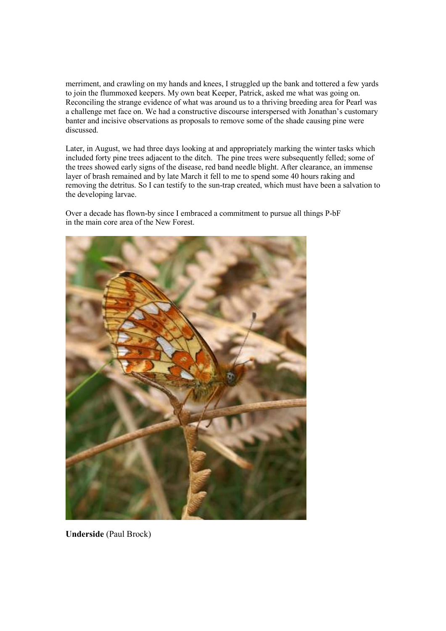merriment, and crawling on my hands and knees, I struggled up the bank and tottered a few yards to join the flummoxed keepers. My own beat Keeper, Patrick, asked me what was going on. Reconciling the strange evidence of what was around us to a thriving breeding area for Pearl was a challenge met face on. We had a constructive discourse interspersed with Jonathan's customary banter and incisive observations as proposals to remove some of the shade causing pine were discussed.

Later, in August, we had three days looking at and appropriately marking the winter tasks which included forty pine trees adjacent to the ditch. The pine trees were subsequently felled; some of the trees showed early signs of the disease, red band needle blight. After clearance, an immense layer of brash remained and by late March it fell to me to spend some 40 hours raking and removing the detritus. So I can testify to the sun-trap created, which must have been a salvation to the developing larvae.

Over a decade has flown-by since I embraced a commitment to pursue all things P-bF in the main core area of the New Forest.



**Underside** (Paul Brock)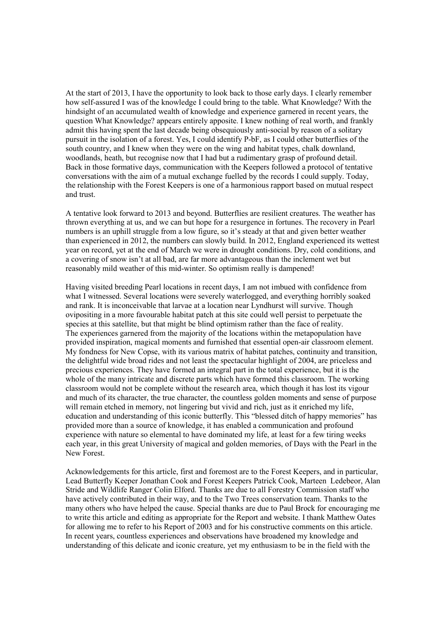At the start of 2013, I have the opportunity to look back to those early days. I clearly remember how self-assured I was of the knowledge I could bring to the table. What Knowledge? With the hindsight of an accumulated wealth of knowledge and experience garnered in recent years, the question What Knowledge? appears entirely apposite. I knew nothing of real worth, and frankly admit this having spent the last decade being obsequiously anti-social by reason of a solitary pursuit in the isolation of a forest. Yes, I could identify P-bF, as I could other butterflies of the south country, and I knew when they were on the wing and habitat types, chalk downland, woodlands, heath, but recognise now that I had but a rudimentary grasp of profound detail. Back in those formative days, communication with the Keepers followed a protocol of tentative conversations with the aim of a mutual exchange fuelled by the records I could supply. Today, the relationship with the Forest Keepers is one of a harmonious rapport based on mutual respect and trust.

A tentative look forward to 2013 and beyond. Butterflies are resilient creatures. The weather has thrown everything at us, and we can but hope for a resurgence in fortunes. The recovery in Pearl numbers is an uphill struggle from a low figure, so it's steady at that and given better weather than experienced in 2012, the numbers can slowly build. In 2012, England experienced its wettest year on record, yet at the end of March we were in drought conditions. Dry, cold conditions, and a covering of snow isn't at all bad, are far more advantageous than the inclement wet but reasonably mild weather of this mid-winter. So optimism really is dampened!

Having visited breeding Pearl locations in recent days, I am not imbued with confidence from what I witnessed. Several locations were severely waterlogged, and everything horribly soaked and rank. It is inconceivable that larvae at a location near Lyndhurst will survive. Though ovipositing in a more favourable habitat patch at this site could well persist to perpetuate the species at this satellite, but that might be blind optimism rather than the face of reality. The experiences garnered from the majority of the locations within the metapopulation have provided inspiration, magical moments and furnished that essential open-air classroom element. My fondness for New Copse, with its various matrix of habitat patches, continuity and transition, the delightful wide broad rides and not least the spectacular highlight of 2004, are priceless and precious experiences. They have formed an integral part in the total experience, but it is the whole of the many intricate and discrete parts which have formed this classroom. The working classroom would not be complete without the research area, which though it has lost its vigour and much of its character, the true character, the countless golden moments and sense of purpose will remain etched in memory, not lingering but vivid and rich, just as it enriched my life, education and understanding of this iconic butterfly. This "blessed ditch of happy memories" has provided more than a source of knowledge, it has enabled a communication and profound experience with nature so elemental to have dominated my life, at least for a few tiring weeks each year, in this great University of magical and golden memories, of Days with the Pearl in the New Forest.

Acknowledgements for this article, first and foremost are to the Forest Keepers, and in particular, Lead Butterfly Keeper Jonathan Cook and Forest Keepers Patrick Cook, Marteen Ledebeor, Alan Stride and Wildlife Ranger Colin Elford. Thanks are due to all Forestry Commission staff who have actively contributed in their way, and to the Two Trees conservation team. Thanks to the many others who have helped the cause. Special thanks are due to Paul Brock for encouraging me to write this article and editing as appropriate for the Report and website. I thank Matthew Oates for allowing me to refer to his Report of 2003 and for his constructive comments on this article. In recent years, countless experiences and observations have broadened my knowledge and understanding of this delicate and iconic creature, yet my enthusiasm to be in the field with the